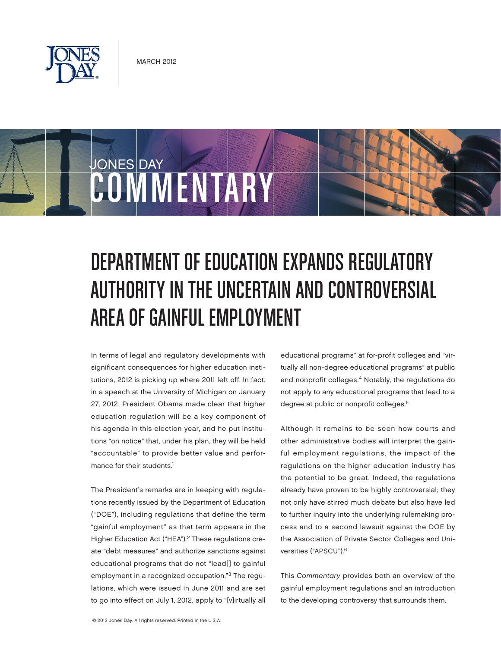



# DEPARTMENT OF EDUCATION EXPANDS REGULATORY AUTHORITY IN THE UNCERTAIN AND CONTROVERSIAL AREA OF GAINFUL EMPLOYMENT

In terms of legal and regulatory developments with significant consequences for higher education institutions, 2012 is picking up where 2011 left off. In fact, in a speech at the University of Michigan on January 27, 2012, President Obama made clear that higher education regulation will be a key component of his agenda in this election year, and he put institutions "on notice" that, under his plan, they will be held "accountable" to provide better value and performance for their students.<sup>1</sup>

The President's remarks are in keeping with regulations recently issued by the Department of Education ("DOE"), including regulations that define the term "gainful employment" as that term appears in the Higher Education Act ("HEA").<sup>2</sup> These regulations create "debt measures" and authorize sanctions against educational programs that do not "lead[] to gainful employment in a recognized occupation."3 The regulations, which were issued in June 2011 and are set to go into effect on July 1, 2012, apply to "[v]irtually all educational programs" at for-profit colleges and "virtually all non-degree educational programs" at public and nonprofit colleges.<sup>4</sup> Notably, the regulations do not apply to any educational programs that lead to a degree at public or nonprofit colleges.<sup>5</sup>

Although it remains to be seen how courts and other administrative bodies will interpret the gainful employment regulations, the impact of the regulations on the higher education industry has the potential to be great. Indeed, the regulations already have proven to be highly controversial; they not only have stirred much debate but also have led to further inquiry into the underlying rulemaking process and to a second lawsuit against the DOE by the Association of Private Sector Colleges and Universities ("APSCU").6

This Commentary provides both an overview of the gainful employment regulations and an introduction to the developing controversy that surrounds them.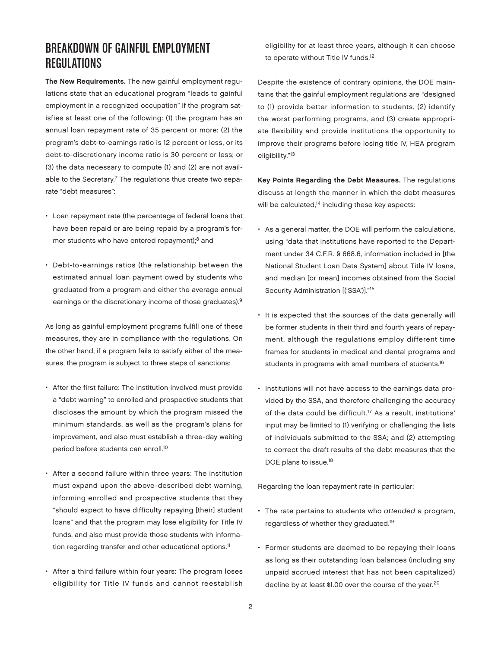## BREAKDOWN OF GAINFUL EMPLOYMENT REGULATIONS

The New Requirements. The new gainful employment regulations state that an educational program "leads to gainful employment in a recognized occupation" if the program satisfies at least one of the following: (1) the program has an annual loan repayment rate of 35 percent or more; (2) the program's debt-to-earnings ratio is 12 percent or less, or its debt-to-discretionary income ratio is 30 percent or less; or (3) the data necessary to compute (1) and (2) are not available to the Secretary.<sup>7</sup> The regulations thus create two separate "debt measures":

- Loan repayment rate (the percentage of federal loans that have been repaid or are being repaid by a program's former students who have entered repayment);<sup>8</sup> and
- Debt-to-earnings ratios (the relationship between the estimated annual loan payment owed by students who graduated from a program and either the average annual earnings or the discretionary income of those graduates).9

As long as gainful employment programs fulfill one of these measures, they are in compliance with the regulations. On the other hand, if a program fails to satisfy either of the measures, the program is subject to three steps of sanctions:

- After the first failure: The institution involved must provide a "debt warning" to enrolled and prospective students that discloses the amount by which the program missed the minimum standards, as well as the program's plans for improvement, and also must establish a three-day waiting period before students can enroll.<sup>10</sup>
- After a second failure within three years: The institution must expand upon the above-described debt warning, informing enrolled and prospective students that they "should expect to have difficulty repaying [their] student loans" and that the program may lose eligibility for Title IV funds, and also must provide those students with information regarding transfer and other educational options.<sup>11</sup>
- After a third failure within four years: The program loses eligibility for Title IV funds and cannot reestablish

eligibility for at least three years, although it can choose to operate without Title IV funds.<sup>12</sup>

Despite the existence of contrary opinions, the DOE maintains that the gainful employment regulations are "designed to (1) provide better information to students, (2) identify the worst performing programs, and (3) create appropriate flexibility and provide institutions the opportunity to improve their programs before losing title IV, HEA program eligibility."13

Key Points Regarding the Debt Measures. The regulations discuss at length the manner in which the debt measures will be calculated,<sup>14</sup> including these key aspects:

- As a general matter, the DOE will perform the calculations, using "data that institutions have reported to the Department under 34 C.F.R. § 668.6, information included in [the National Student Loan Data System] about Title IV loans, and median [or mean] incomes obtained from the Social Security Administration [('SSA')]."15
- It is expected that the sources of the data generally will be former students in their third and fourth years of repayment, although the regulations employ different time frames for students in medical and dental programs and students in programs with small numbers of students.<sup>16</sup>
- Institutions will not have access to the earnings data provided by the SSA, and therefore challenging the accuracy of the data could be difficult.<sup>17</sup> As a result, institutions' input may be limited to (1) verifying or challenging the lists of individuals submitted to the SSA; and (2) attempting to correct the draft results of the debt measures that the DOE plans to issue.<sup>18</sup>

Regarding the loan repayment rate in particular:

- The rate pertains to students who attended a program, regardless of whether they graduated.19
- Former students are deemed to be repaying their loans as long as their outstanding loan balances (including any unpaid accrued interest that has not been capitalized) decline by at least \$1.00 over the course of the year.<sup>20</sup>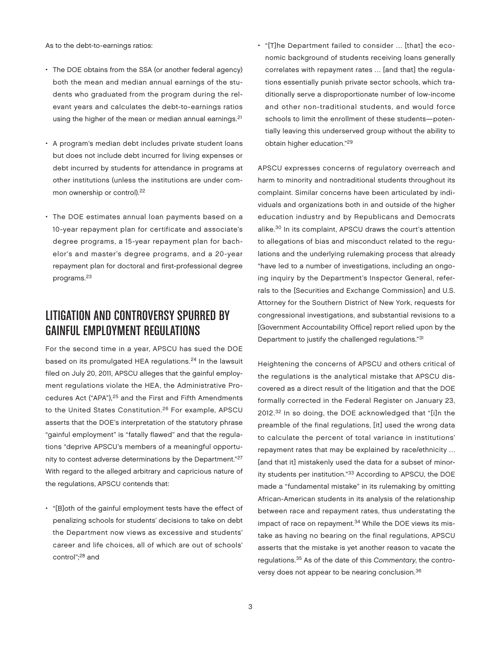As to the debt-to-earnings ratios:

- The DOE obtains from the SSA (or another federal agency) both the mean and median annual earnings of the students who graduated from the program during the relevant years and calculates the debt-to-earnings ratios using the higher of the mean or median annual earnings.<sup>21</sup>
- A program's median debt includes private student loans but does not include debt incurred for living expenses or debt incurred by students for attendance in programs at other institutions (unless the institutions are under common ownership or control).22
- The DOE estimates annual loan payments based on a 10-year repayment plan for certificate and associate's degree programs, a 15-year repayment plan for bachelor's and master's degree programs, and a 20-year repayment plan for doctoral and first-professional degree programs.23

# LITIGATION AND CONTROVERSY SPURRED BY GAINFUL EMPLOYMENT REGULATIONS

For the second time in a year, APSCU has sued the DOE based on its promulgated HEA regulations.<sup>24</sup> In the lawsuit filed on July 20, 2011, APSCU alleges that the gainful employment regulations violate the HEA, the Administrative Procedures Act ("APA"),25 and the First and Fifth Amendments to the United States Constitution.<sup>26</sup> For example, APSCU asserts that the DOE's interpretation of the statutory phrase "gainful employment" is "fatally flawed" and that the regulations "deprive APSCU's members of a meaningful opportunity to contest adverse determinations by the Department."27 With regard to the alleged arbitrary and capricious nature of the regulations, APSCU contends that:

• "[B]oth of the gainful employment tests have the effect of penalizing schools for students' decisions to take on debt the Department now views as excessive and students' career and life choices, all of which are out of schools' control";28 and

• "[T]he Department failed to consider … [that] the economic background of students receiving loans generally correlates with repayment rates … [and that] the regulations essentially punish private sector schools, which traditionally serve a disproportionate number of low-income and other non-traditional students, and would force schools to limit the enrollment of these students—potentially leaving this underserved group without the ability to obtain higher education."29

APSCU expresses concerns of regulatory overreach and harm to minority and nontraditional students throughout its complaint. Similar concerns have been articulated by individuals and organizations both in and outside of the higher education industry and by Republicans and Democrats alike.30 In its complaint, APSCU draws the court's attention to allegations of bias and misconduct related to the regulations and the underlying rulemaking process that already "have led to a number of investigations, including an ongoing inquiry by the Department's Inspector General, referrals to the [Securities and Exchange Commission] and U.S. Attorney for the Southern District of New York, requests for congressional investigations, and substantial revisions to a [Government Accountability Office] report relied upon by the Department to justify the challenged regulations."31

Heightening the concerns of APSCU and others critical of the regulations is the analytical mistake that APSCU discovered as a direct result of the litigation and that the DOE formally corrected in the Federal Register on January 23, 2012.32 In so doing, the DOE acknowledged that "[i]n the preamble of the final regulations, [it] used the wrong data to calculate the percent of total variance in institutions' repayment rates that may be explained by race/ethnicity … [and that it] mistakenly used the data for a subset of minority students per institution."33 According to APSCU, the DOE made a "fundamental mistake" in its rulemaking by omitting African-American students in its analysis of the relationship between race and repayment rates, thus understating the impact of race on repayment.<sup>34</sup> While the DOE views its mistake as having no bearing on the final regulations, APSCU asserts that the mistake is yet another reason to vacate the regulations.35 As of the date of this Commentary, the controversy does not appear to be nearing conclusion.<sup>36</sup>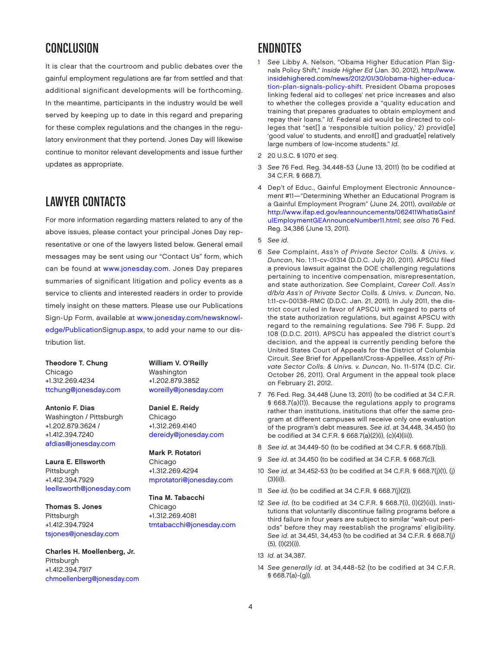## **CONCLUSION**

It is clear that the courtroom and public debates over the gainful employment regulations are far from settled and that additional significant developments will be forthcoming. In the meantime, participants in the industry would be well served by keeping up to date in this regard and preparing for these complex regulations and the changes in the regulatory environment that they portend. Jones Day will likewise continue to monitor relevant developments and issue further updates as appropriate.

### LAWYER CONTACTS

For more information regarding matters related to any of the above issues, please contact your principal Jones Day representative or one of the lawyers listed below. General email messages may be sent using our "Contact Us" form, which can be found at [www.jonesday.com. Jo](http://www.jonesday.com)nes Day prepares summaries of significant litigation and policy events as a service to clients and interested readers in order to provide timely insight on these matters. Please use our Publications [Sign-Up Form, available at www.jonesday.com/newsknowl](http://www.jonesday.com/newsknowl�edge/PublicationSignup.aspx)edge/[PublicationSignup.aspx, to](http://www.jonesday.com/newsknowl�edge/PublicationSignup.aspx) add your name to our distribution list.

Theodore T. Chung Chicago +1.312.269.4234 [ttchung@jonesday.com](mailto:ttchung@jonesday.com)

Antonio F. Dias Washington / Pittsburgh +1.202.879.3624 / +1.412.394.7240 [afdias@jonesday.com](mailto:afdias@jonesday.com)

Laura E. Ellsworth Pittsburgh +1.412.394.7929 [leellsworth@jonesday.com](mailto:leellsworth@jonesday.com)

Thomas S. Jones Pittsburgh +1.412.394.7924 [tsjones@jonesday.com](mailto:tsjones@jonesday.com)

Charles H. Moellenberg, Jr. Pittsburgh +1.412.394.7917 [chmoellenberg@jonesday.com](mailto:chmoellenberg@jonesday.com) William V. O'Reilly Washington +1.202.879.3852 [woreilly@jonesday.com](mailto:woreilly@jonesday.com)

Daniel E. Reidy Chicago +1.312.269.4140 [dereidy@jonesday.com](mailto:dereidy@jonesday.com)

Mark P. Rotatori Chicago +1.312.269.4294 [mprotatori@jonesday.com](mailto:mprotatori@jonesday.com)

Tina M. Tabacchi Chicago +1.312.269.4081 tmtabacchi@jonesday.com

#### ENDNOTES

- See Libby A. Nelson, "Obama Higher Education Plan Signals Policy Shift," Inside Higher Ed (Jan. 30, 2012), [http://www.](http://www.insidehighered.com/news/2012/01/30/obama-higher-educa�tion-plan-signals-policy-shift) [insidehighered.com/news/2012/01/30/obama-higher-ed](http://www.insidehighered.com/news/2012/01/30/obama-higher-educa�tion-plan-signals-policy-shift)uca[tion-plan-signals-policy-shift. President Obama proposes](http://www.insidehighered.com/news/2012/01/30/obama-higher-educa�tion-plan-signals-policy-shift)  linking federal aid to colleges' net price increases and also to whether the colleges provide a "quality education and training that prepares graduates to obtain employment and repay their loans." Id. Federal aid would be directed to colleges that "set[] a 'responsible tuition policy,' 2) provid[e] 'good value' to students, and enroll[] and graduat[e] relatively large numbers of low-income students." Id.
- 2 20 U.S.C. § 1070 et seq.
- 3 See 76 Fed. Reg. 34,448-53 (June 13, 2011) (to be codified at 34 C.F.R. § 668.7).
- 4 Dep't of Educ., Gainful Employment Electronic Announcement #11—"Determining Whether an Educational Program is a Gainful Employment Program" (June 24, 2011), available at [http://www.ifap.ed.gov/eannouncements/062411WhatisGainf](http://www.ifap.ed.gov/eannouncements/062411WhatisGainfulEmploymentGEAnnounceNumber11.html) ulEmploymentGEAnnounceNumber11.[html;](http://www.ifap.ed.gov/eannouncements/062411WhatisGainfulEmploymentGEAnnounceNumber11.html) see also 76 Fed. Reg. 34,386 (June 13, 2011).
- 5 See id.
- 6 See Complaint, Ass'n of Private Sector Colls. & Univs. v. Duncan, No. 1:11-cv-01314 (D.D.C. July 20, 2011). APSCU filed a previous lawsuit against the DOE challenging regulations pertaining to incentive compensation, misrepresentation, and state authorization. See Complaint, Career Coll. Ass'n d/b/a Ass'n of Private Sector Colls. & Univs. v. Duncan, No. 1:11-cv-00138-RMC (D.D.C. Jan. 21, 2011). In July 2011, the district court ruled in favor of APSCU with regard to parts of the state authorization regulations, but against APSCU with regard to the remaining regulations. See 796 F. Supp. 2d 108 (D.D.C. 2011). APSCU has appealed the district court's decision, and the appeal is currently pending before the United States Court of Appeals for the District of Columbia Circuit. See Brief for Appellant/Cross-Appellee, Ass'n of Private Sector Colls. & Univs. v. Duncan, No. 11-5174 (D.C. Cir. October 26, 2011). Oral Argument in the appeal took place on February 21, 2012.
- 7 76 Fed. Reg. 34,448 (June 13, 2011) (to be codified at 34 C.F.R. § 668.7(a)(1)). Because the regulations apply to programs rather than institutions, institutions that offer the same program at different campuses will receive only one evaluation of the program's debt measures. See id. at 34,448, 34,450 (to be codified at 34 C.F.R. § 668.7(a)(2)(i), (c)(4)(iii)).
- 8 See id. at 34,449-50 (to be codified at 34 C.F.R. § 668.7(b)).
- 9 See id. at 34,450 (to be codified at 34 C.F.R. § 668.7(c)).
- 10 See id. at 34,452-53 (to be codified at 34 C.F.R. § 668.7(j)(1), (j) (3)(ii)).
- 11 See id. (to be codified at 34 C.F.R. § 668.7(j)(2)).
- 12 See id. (to be codified at 34 C.F.R. § 668.7(i), (l)(2)(ii)). Institutions that voluntarily discontinue failing programs before a third failure in four years are subject to similar "wait-out periods" before they may reestablish the programs' eligibility. See id. at 34,451, 34,453 (to be codified at 34 C.F.R. § 668.7(j) (5), (l)(2)(i)).
- 13 Id. at 34,387.
- 14 See generally id. at 34,448-52 (to be codified at 34 C.F.R. § 668.7(a)-(g)).